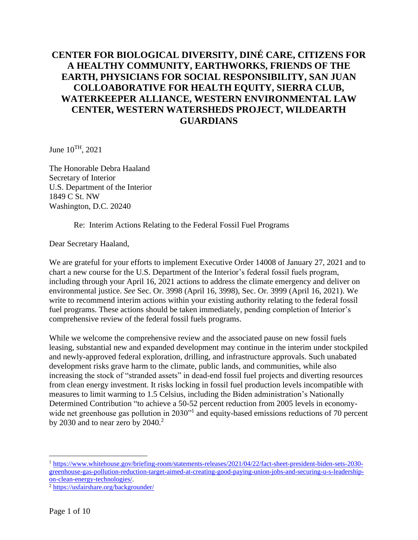# **CENTER FOR BIOLOGICAL DIVERSITY, DINÉ CARE, CITIZENS FOR A HEALTHY COMMUNITY, EARTHWORKS, FRIENDS OF THE EARTH, PHYSICIANS FOR SOCIAL RESPONSIBILITY, SAN JUAN COLLOABORATIVE FOR HEALTH EQUITY, SIERRA CLUB, WATERKEEPER ALLIANCE, WESTERN ENVIRONMENTAL LAW CENTER, WESTERN WATERSHEDS PROJECT, WILDEARTH GUARDIANS**

June  $10^{TH}$ , 2021

The Honorable Debra Haaland Secretary of Interior U.S. Department of the Interior 1849 C St. NW Washington, D.C. 20240

#### Re: Interim Actions Relating to the Federal Fossil Fuel Programs

Dear Secretary Haaland,

We are grateful for your efforts to implement Executive Order 14008 of January 27, 2021 and to chart a new course for the U.S. Department of the Interior's federal fossil fuels program, including through your April 16, 2021 actions to address the climate emergency and deliver on environmental justice. *See* Sec. Or. 3998 (April 16, 3998), Sec. Or. 3999 (April 16, 2021). We write to recommend interim actions within your existing authority relating to the federal fossil fuel programs. These actions should be taken immediately, pending completion of Interior's comprehensive review of the federal fossil fuels programs.

While we welcome the comprehensive review and the associated pause on new fossil fuels leasing, substantial new and expanded development may continue in the interim under stockpiled and newly-approved federal exploration, drilling, and infrastructure approvals. Such unabated development risks grave harm to the climate, public lands, and communities, while also increasing the stock of "stranded assets" in dead-end fossil fuel projects and diverting resources from clean energy investment. It risks locking in fossil fuel production levels incompatible with measures to limit warming to 1.5 Celsius, including the Biden administration's Nationally Determined Contribution "to achieve a 50-52 percent reduction from 2005 levels in economywide net greenhouse gas pollution in 2030"<sup>1</sup> and equity-based emissions reductions of 70 percent by 2030 and to near zero by  $2040$ .<sup>2</sup>

<sup>1</sup> [https://www.whitehouse.gov/briefing-room/statements-releases/2021/04/22/fact-sheet-president-biden-sets-2030](https://www.whitehouse.gov/briefing-room/statements-releases/2021/04/22/fact-sheet-president-biden-sets-2030-greenhouse-gas-pollution-reduction-target-aimed-at-creating-good-paying-union-jobs-and-securing-u-s-leadership-on-clean-energy-technologies/) [greenhouse-gas-pollution-reduction-target-aimed-at-creating-good-paying-union-jobs-and-securing-u-s-leadership](https://www.whitehouse.gov/briefing-room/statements-releases/2021/04/22/fact-sheet-president-biden-sets-2030-greenhouse-gas-pollution-reduction-target-aimed-at-creating-good-paying-union-jobs-and-securing-u-s-leadership-on-clean-energy-technologies/)[on-clean-energy-technologies/.](https://www.whitehouse.gov/briefing-room/statements-releases/2021/04/22/fact-sheet-president-biden-sets-2030-greenhouse-gas-pollution-reduction-target-aimed-at-creating-good-paying-union-jobs-and-securing-u-s-leadership-on-clean-energy-technologies/)

<sup>2</sup> <https://usfairshare.org/backgrounder/>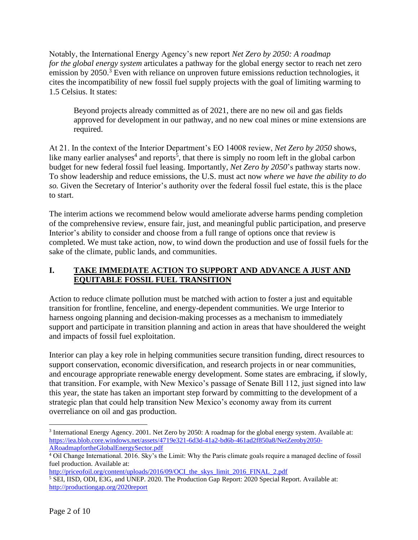Notably, the International Energy Agency's new report *Net Zero by 2050: A roadmap for the global energy system* articulates a pathway for the global energy sector to reach net zero emission by  $2050<sup>3</sup>$  Even with reliance on unproven future emissions reduction technologies, it cites the incompatibility of new fossil fuel supply projects with the goal of limiting warming to 1.5 Celsius. It states:

Beyond projects already committed as of 2021, there are no new oil and gas fields approved for development in our pathway, and no new coal mines or mine extensions are required.

At 21. In the context of the Interior Department's EO 14008 review, *Net Zero by 2050* shows, like many earlier analyses<sup>4</sup> and reports<sup>5</sup>, that there is simply no room left in the global carbon budget for new federal fossil fuel leasing. Importantly, *Net Zero by 2050*'s pathway starts now. To show leadership and reduce emissions, the U.S. must act now *where we have the ability to do so.* Given the Secretary of Interior's authority over the federal fossil fuel estate, this is the place to start.

The interim actions we recommend below would ameliorate adverse harms pending completion of the comprehensive review, ensure fair, just, and meaningful public participation, and preserve Interior's ability to consider and choose from a full range of options once that review is completed. We must take action, now, to wind down the production and use of fossil fuels for the sake of the climate, public lands, and communities.

## **I. TAKE IMMEDIATE ACTION TO SUPPORT AND ADVANCE A JUST AND EQUITABLE FOSSIL FUEL TRANSITION**

Action to reduce climate pollution must be matched with action to foster a just and equitable transition for frontline, fenceline, and energy-dependent communities. We urge Interior to harness ongoing planning and decision-making processes as a mechanism to immediately support and participate in transition planning and action in areas that have shouldered the weight and impacts of fossil fuel exploitation.

Interior can play a key role in helping communities secure transition funding, direct resources to support conservation, economic diversification, and research projects in or near communities, and encourage appropriate renewable energy development. Some states are embracing, if slowly, that transition. For example, with New Mexico's passage of Senate Bill 112, just signed into law this year, the state has taken an important step forward by committing to the development of a strategic plan that could help transition New Mexico's economy away from its current overreliance on oil and gas production.

[http://priceofoil.org/content/uploads/2016/09/OCI\\_the\\_skys\\_limit\\_2016\\_FINAL\\_2.pdf](http://priceofoil.org/content/uploads/2016/09/OCI_the_skys_limit_2016_FINAL_2.pdf)

<sup>3</sup> International Energy Agency. 2001. Net Zero by 2050: A roadmap for the global energy system. Available at: [https://iea.blob.core.windows.net/assets/4719e321-6d3d-41a2-bd6b-461ad2f850a8/NetZeroby2050-](https://iea.blob.core.windows.net/assets/4719e321-6d3d-41a2-bd6b-461ad2f850a8/NetZeroby2050-ARoadmapfortheGlobalEnergySector.pdf) [ARoadmapfortheGlobalEnergySector.pdf](https://iea.blob.core.windows.net/assets/4719e321-6d3d-41a2-bd6b-461ad2f850a8/NetZeroby2050-ARoadmapfortheGlobalEnergySector.pdf)

<sup>4</sup> Oil Change International. 2016. Sky's the Limit: Why the Paris climate goals require a managed decline of fossil fuel production. Available at:

<sup>5</sup> SEI, IISD, ODI, E3G, and UNEP. 2020. The Production Gap Report: 2020 Special Report. Available at: <http://productiongap.org/2020report>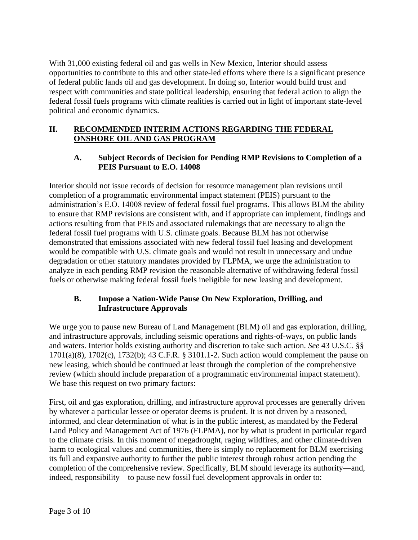With 31,000 existing federal oil and gas wells in New Mexico, Interior should assess opportunities to contribute to this and other state-led efforts where there is a significant presence of federal public lands oil and gas development. In doing so, Interior would build trust and respect with communities and state political leadership, ensuring that federal action to align the federal fossil fuels programs with climate realities is carried out in light of important state-level political and economic dynamics.

### **II. RECOMMENDED INTERIM ACTIONS REGARDING THE FEDERAL ONSHORE OIL AND GAS PROGRAM**

#### **A. Subject Records of Decision for Pending RMP Revisions to Completion of a PEIS Pursuant to E.O. 14008**

Interior should not issue records of decision for resource management plan revisions until completion of a programmatic environmental impact statement (PEIS) pursuant to the administration's E.O. 14008 review of federal fossil fuel programs. This allows BLM the ability to ensure that RMP revisions are consistent with, and if appropriate can implement, findings and actions resulting from that PEIS and associated rulemakings that are necessary to align the federal fossil fuel programs with U.S. climate goals. Because BLM has not otherwise demonstrated that emissions associated with new federal fossil fuel leasing and development would be compatible with U.S. climate goals and would not result in unnecessary and undue degradation or other statutory mandates provided by FLPMA, we urge the administration to analyze in each pending RMP revision the reasonable alternative of withdrawing federal fossil fuels or otherwise making federal fossil fuels ineligible for new leasing and development.

## **B. Impose a Nation-Wide Pause On New Exploration, Drilling, and Infrastructure Approvals**

We urge you to pause new Bureau of Land Management (BLM) oil and gas exploration, drilling, and infrastructure approvals, including seismic operations and rights-of-ways, on public lands and waters. Interior holds existing authority and discretion to take such action. *See* 43 U.S.C. §§ 1701(a)(8), 1702(c), 1732(b); 43 C.F.R. § 3101.1-2. Such action would complement the pause on new leasing, which should be continued at least through the completion of the comprehensive review (which should include preparation of a programmatic environmental impact statement). We base this request on two primary factors:

First, oil and gas exploration, drilling, and infrastructure approval processes are generally driven by whatever a particular lessee or operator deems is prudent. It is not driven by a reasoned, informed, and clear determination of what is in the public interest, as mandated by the Federal Land Policy and Management Act of 1976 (FLPMA), nor by what is prudent in particular regard to the climate crisis. In this moment of megadrought, raging wildfires, and other climate-driven harm to ecological values and communities, there is simply no replacement for BLM exercising its full and expansive authority to further the public interest through robust action pending the completion of the comprehensive review. Specifically, BLM should leverage its authority—and, indeed, responsibility—to pause new fossil fuel development approvals in order to: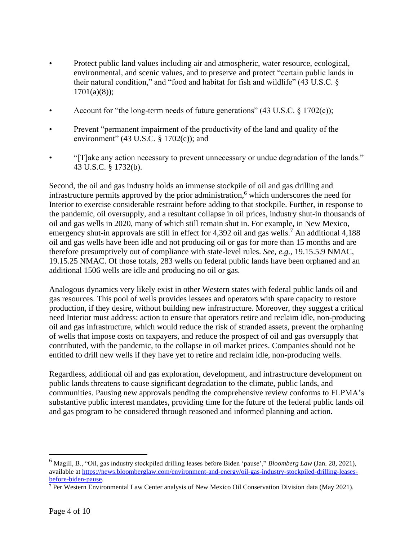- Protect public land values including air and atmospheric, water resource, ecological, environmental, and scenic values, and to preserve and protect "certain public lands in their natural condition," and "food and habitat for fish and wildlife" (43 U.S.C. §  $1701(a)(8)$ ;
- Account for "the long-term needs of future generations"  $(43 \text{ U.S.C. } 8 \text{ 1702(c)})$ ;
- Prevent "permanent impairment of the productivity of the land and quality of the environment" (43 U.S.C.  $\S$  1702(c)); and
- "[T]ake any action necessary to prevent unnecessary or undue degradation of the lands." 43 U.S.C. § 1732(b).

Second, the oil and gas industry holds an immense stockpile of oil and gas drilling and infrastructure permits approved by the prior administration, <sup>6</sup> which underscores the need for Interior to exercise considerable restraint before adding to that stockpile. Further, in response to the pandemic, oil oversupply, and a resultant collapse in oil prices, industry shut-in thousands of oil and gas wells in 2020, many of which still remain shut in. For example, in New Mexico, emergency shut-in approvals are still in effect for 4,392 oil and gas wells.<sup>7</sup> An additional 4,188 oil and gas wells have been idle and not producing oil or gas for more than 15 months and are therefore presumptively out of compliance with state-level rules. *See, e.g.,* 19.15.5.9 NMAC, 19.15.25 NMAC. Of those totals, 283 wells on federal public lands have been orphaned and an additional 1506 wells are idle and producing no oil or gas.

Analogous dynamics very likely exist in other Western states with federal public lands oil and gas resources. This pool of wells provides lessees and operators with spare capacity to restore production, if they desire, without building new infrastructure. Moreover, they suggest a critical need Interior must address: action to ensure that operators retire and reclaim idle, non-producing oil and gas infrastructure, which would reduce the risk of stranded assets, prevent the orphaning of wells that impose costs on taxpayers, and reduce the prospect of oil and gas oversupply that contributed, with the pandemic, to the collapse in oil market prices. Companies should not be entitled to drill new wells if they have yet to retire and reclaim idle, non-producing wells.

Regardless, additional oil and gas exploration, development, and infrastructure development on public lands threatens to cause significant degradation to the climate, public lands, and communities. Pausing new approvals pending the comprehensive review conforms to FLPMA's substantive public interest mandates, providing time for the future of the federal public lands oil and gas program to be considered through reasoned and informed planning and action.

<sup>6</sup> Magill, B., "Oil, gas industry stockpiled drilling leases before Biden 'pause'," *Bloomberg Law* (Jan. 28, 2021), available at [https://news.bloomberglaw.com/environment-and-energy/oil-gas-industry-stockpiled-drilling-leases](https://news.bloomberglaw.com/environment-and-energy/oil-gas-industry-stockpiled-drilling-leases-before-biden-pause)[before-biden-pause.](https://news.bloomberglaw.com/environment-and-energy/oil-gas-industry-stockpiled-drilling-leases-before-biden-pause)

<sup>7</sup> Per Western Environmental Law Center analysis of New Mexico Oil Conservation Division data (May 2021).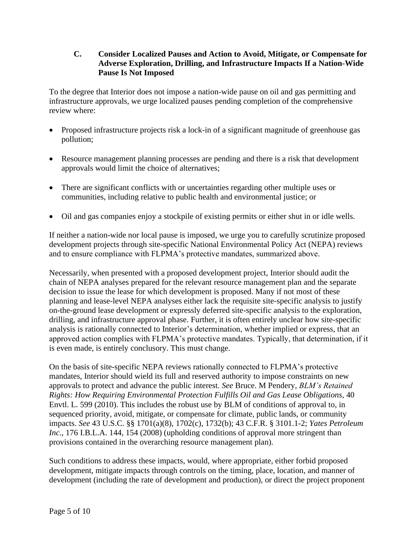#### **C. Consider Localized Pauses and Action to Avoid, Mitigate, or Compensate for Adverse Exploration, Drilling, and Infrastructure Impacts If a Nation-Wide Pause Is Not Imposed**

To the degree that Interior does not impose a nation-wide pause on oil and gas permitting and infrastructure approvals, we urge localized pauses pending completion of the comprehensive review where:

- Proposed infrastructure projects risk a lock-in of a significant magnitude of greenhouse gas pollution;
- Resource management planning processes are pending and there is a risk that development approvals would limit the choice of alternatives;
- There are significant conflicts with or uncertainties regarding other multiple uses or communities, including relative to public health and environmental justice; or
- Oil and gas companies enjoy a stockpile of existing permits or either shut in or idle wells.

If neither a nation-wide nor local pause is imposed, we urge you to carefully scrutinize proposed development projects through site-specific National Environmental Policy Act (NEPA) reviews and to ensure compliance with FLPMA's protective mandates, summarized above.

Necessarily, when presented with a proposed development project, Interior should audit the chain of NEPA analyses prepared for the relevant resource management plan and the separate decision to issue the lease for which development is proposed. Many if not most of these planning and lease-level NEPA analyses either lack the requisite site-specific analysis to justify on-the-ground lease development or expressly deferred site-specific analysis to the exploration, drilling, and infrastructure approval phase. Further, it is often entirely unclear how site-specific analysis is rationally connected to Interior's determination, whether implied or express, that an approved action complies with FLPMA's protective mandates. Typically, that determination, if it is even made, is entirely conclusory. This must change.

On the basis of site-specific NEPA reviews rationally connected to FLPMA's protective mandates, Interior should wield its full and reserved authority to impose constraints on new approvals to protect and advance the public interest. *See* Bruce. M Pendery, *BLM's Retained Rights: How Requiring Environmental Protection Fulfills Oil and Gas Lease Obligations*, 40 Envtl. L. 599 (2010). This includes the robust use by BLM of conditions of approval to, in sequenced priority, avoid, mitigate, or compensate for climate, public lands, or community impacts. *See* 43 U.S.C. §§ 1701(a)(8), 1702(c), 1732(b); 43 C.F.R. § 3101.1-2; *Yates Petroleum Inc*., 176 I.B.L.A. 144, 154 (2008) (upholding conditions of approval more stringent than provisions contained in the overarching resource management plan).

Such conditions to address these impacts, would, where appropriate, either forbid proposed development, mitigate impacts through controls on the timing, place, location, and manner of development (including the rate of development and production), or direct the project proponent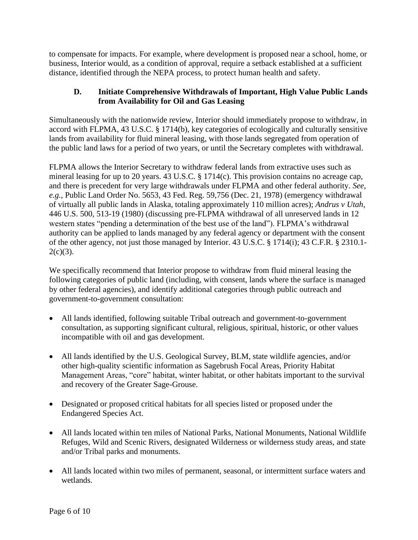to compensate for impacts. For example, where development is proposed near a school, home, or business, Interior would, as a condition of approval, require a setback established at a sufficient distance, identified through the NEPA process, to protect human health and safety.

### **D. Initiate Comprehensive Withdrawals of Important, High Value Public Lands from Availability for Oil and Gas Leasing**

Simultaneously with the nationwide review, Interior should immediately propose to withdraw, in accord with FLPMA, 43 U.S.C. § 1714(b), key categories of ecologically and culturally sensitive lands from availability for fluid mineral leasing, with those lands segregated from operation of the public land laws for a period of two years, or until the Secretary completes with withdrawal.

FLPMA allows the Interior Secretary to withdraw federal lands from extractive uses such as mineral leasing for up to 20 years. 43 U.S.C. § 1714(c). This provision contains no acreage cap, and there is precedent for very large withdrawals under FLPMA and other federal authority. *See, e.g.*, Public Land Order No. 5653, 43 Fed. Reg. 59,756 (Dec. 21, 1978) (emergency withdrawal of virtually all public lands in Alaska, totaling approximately 110 million acres); *Andrus v Utah*, 446 U.S. 500, 513-19 (1980) (discussing pre-FLPMA withdrawal of all unreserved lands in 12 western states "pending a determination of the best use of the land"). FLPMA's withdrawal authority can be applied to lands managed by any federal agency or department with the consent of the other agency, not just those managed by Interior. 43 U.S.C. § 1714(i); 43 C.F.R. § 2310.1-  $2(c)(3)$ .

We specifically recommend that Interior propose to withdraw from fluid mineral leasing the following categories of public land (including, with consent, lands where the surface is managed by other federal agencies), and identify additional categories through public outreach and government-to-government consultation:

- All lands identified, following suitable Tribal outreach and government-to-government consultation, as supporting significant cultural, religious, spiritual, historic, or other values incompatible with oil and gas development.
- All lands identified by the U.S. Geological Survey, BLM, state wildlife agencies, and/or other high-quality scientific information as Sagebrush Focal Areas, Priority Habitat Management Areas, "core" habitat, winter habitat, or other habitats important to the survival and recovery of the Greater Sage-Grouse.
- Designated or proposed critical habitats for all species listed or proposed under the Endangered Species Act.
- All lands located within ten miles of National Parks, National Monuments, National Wildlife Refuges, Wild and Scenic Rivers, designated Wilderness or wilderness study areas, and state and/or Tribal parks and monuments.
- All lands located within two miles of permanent, seasonal, or intermittent surface waters and wetlands.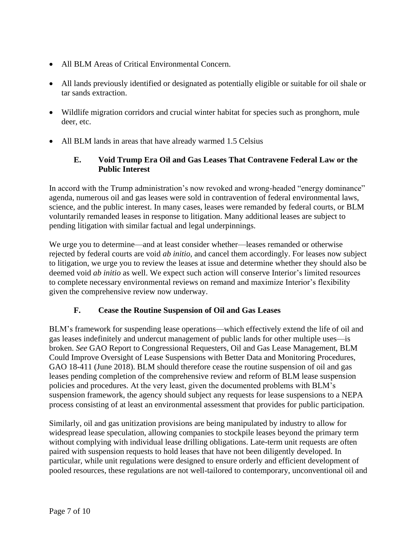- All BLM Areas of Critical Environmental Concern.
- All lands previously identified or designated as potentially eligible or suitable for oil shale or tar sands extraction.
- Wildlife migration corridors and crucial winter habitat for species such as pronghorn, mule deer, etc.
- All BLM lands in areas that have already warmed 1.5 Celsius

### **E. Void Trump Era Oil and Gas Leases That Contravene Federal Law or the Public Interest**

In accord with the Trump administration's now revoked and wrong-headed "energy dominance" agenda, numerous oil and gas leases were sold in contravention of federal environmental laws, science, and the public interest. In many cases, leases were remanded by federal courts, or BLM voluntarily remanded leases in response to litigation. Many additional leases are subject to pending litigation with similar factual and legal underpinnings.

We urge you to determine—and at least consider whether—leases remanded or otherwise rejected by federal courts are void *ab initio,* and cancel them accordingly. For leases now subject to litigation, we urge you to review the leases at issue and determine whether they should also be deemed void *ab initio* as well. We expect such action will conserve Interior's limited resources to complete necessary environmental reviews on remand and maximize Interior's flexibility given the comprehensive review now underway.

#### **F. Cease the Routine Suspension of Oil and Gas Leases**

BLM's framework for suspending lease operations—which effectively extend the life of oil and gas leases indefinitely and undercut management of public lands for other multiple uses—is broken. *See* GAO Report to Congressional Requesters, Oil and Gas Lease Management, BLM Could Improve Oversight of Lease Suspensions with Better Data and Monitoring Procedures, GAO 18-411 (June 2018). BLM should therefore cease the routine suspension of oil and gas leases pending completion of the comprehensive review and reform of BLM lease suspension policies and procedures. At the very least, given the documented problems with BLM's suspension framework, the agency should subject any requests for lease suspensions to a NEPA process consisting of at least an environmental assessment that provides for public participation.

Similarly, oil and gas unitization provisions are being manipulated by industry to allow for widespread lease speculation, allowing companies to stockpile leases beyond the primary term without complying with individual lease drilling obligations. Late-term unit requests are often paired with suspension requests to hold leases that have not been diligently developed. In particular, while unit regulations were designed to ensure orderly and efficient development of pooled resources, these regulations are not well-tailored to contemporary, unconventional oil and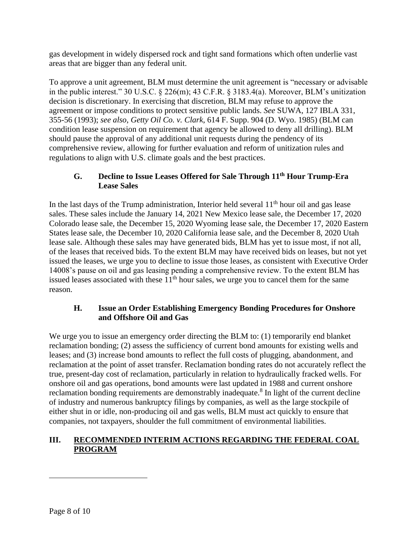gas development in widely dispersed rock and tight sand formations which often underlie vast areas that are bigger than any federal unit.

To approve a unit agreement, BLM must determine the unit agreement is "necessary or advisable in the public interest." 30 U.S.C. § 226(m); 43 C.F.R. § 3183.4(a). Moreover, BLM's unitization decision is discretionary. In exercising that discretion, BLM may refuse to approve the agreement or impose conditions to protect sensitive public lands. *See* SUWA, 127 IBLA 331, 355-56 (1993); *see also*, *Getty Oil Co. v. Clark*, 614 F. Supp. 904 (D. Wyo. 1985) (BLM can condition lease suspension on requirement that agency be allowed to deny all drilling). BLM should pause the approval of any additional unit requests during the pendency of its comprehensive review, allowing for further evaluation and reform of unitization rules and regulations to align with U.S. climate goals and the best practices.

### **G. Decline to Issue Leases Offered for Sale Through 11th Hour Trump-Era Lease Sales**

In the last days of the Trump administration, Interior held several  $11<sup>th</sup>$  hour oil and gas lease sales. These sales include the January 14, 2021 New Mexico lease sale, the December 17, 2020 Colorado lease sale, the December 15, 2020 Wyoming lease sale, the December 17, 2020 Eastern States lease sale, the December 10, 2020 California lease sale, and the December 8, 2020 Utah lease sale. Although these sales may have generated bids, BLM has yet to issue most, if not all, of the leases that received bids. To the extent BLM may have received bids on leases, but not yet issued the leases, we urge you to decline to issue those leases, as consistent with Executive Order 14008's pause on oil and gas leasing pending a comprehensive review. To the extent BLM has issued leases associated with these  $11<sup>th</sup>$  hour sales, we urge you to cancel them for the same reason.

#### **H. Issue an Order Establishing Emergency Bonding Procedures for Onshore and Offshore Oil and Gas**

We urge you to issue an emergency order directing the BLM to: (1) temporarily end blanket reclamation bonding; (2) assess the sufficiency of current bond amounts for existing wells and leases; and (3) increase bond amounts to reflect the full costs of plugging, abandonment, and reclamation at the point of asset transfer. Reclamation bonding rates do not accurately reflect the true, present-day cost of reclamation, particularly in relation to hydraulically fracked wells. For onshore oil and gas operations, bond amounts were last updated in 1988 and current onshore reclamation bonding requirements are demonstrably inadequate.<sup>8</sup> In light of the current decline of industry and numerous bankruptcy filings by companies, as well as the large stockpile of either shut in or idle, non-producing oil and gas wells, BLM must act quickly to ensure that companies, not taxpayers, shoulder the full commitment of environmental liabilities.

## **III. RECOMMENDED INTERIM ACTIONS REGARDING THE FEDERAL COAL PROGRAM**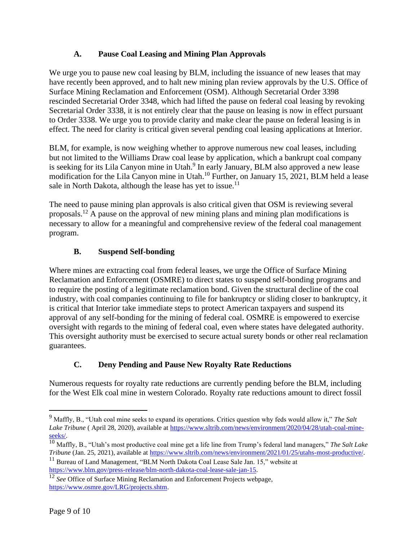## **A. Pause Coal Leasing and Mining Plan Approvals**

We urge you to pause new coal leasing by BLM, including the issuance of new leases that may have recently been approved, and to halt new mining plan review approvals by the U.S. Office of Surface Mining Reclamation and Enforcement (OSM). Although Secretarial Order 3398 rescinded Secretarial Order 3348, which had lifted the pause on federal coal leasing by revoking Secretarial Order 3338, it is not entirely clear that the pause on leasing is now in effect pursuant to Order 3338. We urge you to provide clarity and make clear the pause on federal leasing is in effect. The need for clarity is critical given several pending coal leasing applications at Interior.

BLM, for example, is now weighing whether to approve numerous new coal leases, including but not limited to the Williams Draw coal lease by application, which a bankrupt coal company is seeking for its Lila Canyon mine in Utah.<sup>9</sup> In early January, BLM also approved a new lease modification for the Lila Canyon mine in Utah.<sup>10</sup> Further, on January 15, 2021, BLM held a lease sale in North Dakota, although the lease has yet to issue.<sup>11</sup>

The need to pause mining plan approvals is also critical given that OSM is reviewing several proposals. <sup>12</sup> A pause on the approval of new mining plans and mining plan modifications is necessary to allow for a meaningful and comprehensive review of the federal coal management program.

### **B. Suspend Self-bonding**

Where mines are extracting coal from federal leases, we urge the Office of Surface Mining Reclamation and Enforcement (OSMRE) to direct states to suspend self-bonding programs and to require the posting of a legitimate reclamation bond. Given the structural decline of the coal industry, with coal companies continuing to file for bankruptcy or sliding closer to bankruptcy, it is critical that Interior take immediate steps to protect American taxpayers and suspend its approval of any self-bonding for the mining of federal coal. OSMRE is empowered to exercise oversight with regards to the mining of federal coal, even where states have delegated authority. This oversight authority must be exercised to secure actual surety bonds or other real reclamation guarantees.

## **C. Deny Pending and Pause New Royalty Rate Reductions**

Numerous requests for royalty rate reductions are currently pending before the BLM, including for the West Elk coal mine in western Colorado. Royalty rate reductions amount to direct fossil

<sup>9</sup> Maffly, B., "Utah coal mine seeks to expand its operations. Critics question why feds would allow it," *The Salt Lake Tribune* ( April 28, 2020), available at [https://www.sltrib.com/news/environment/2020/04/28/utah-coal-mine](https://www.sltrib.com/news/environment/2020/04/28/utah-coal-mine-seeks/)[seeks/.](https://www.sltrib.com/news/environment/2020/04/28/utah-coal-mine-seeks/) 

<sup>10</sup> Maffly, B., "Utah's most productive coal mine get a life line from Trump's federal land managers," *The Salt Lake Tribune* (Jan. 25, 2021), available at [https://www.sltrib.com/news/environment/2021/01/25/utahs-most-productive/.](https://www.sltrib.com/news/environment/2021/01/25/utahs-most-productive/)

<sup>&</sup>lt;sup>11</sup> Bureau of Land Management, "BLM North Dakota Coal Lease Sale Jan. 15," website at [https://www.blm.gov/press-release/blm-north-dakota-coal-lease-sale-jan-15.](https://www.blm.gov/press-release/blm-north-dakota-coal-lease-sale-jan-15)

<sup>&</sup>lt;sup>12</sup> *See* Office of Surface Mining Reclamation and Enforcement Projects webpage, [https://www.osmre.gov/LRG/projects.shtm.](https://www.osmre.gov/LRG/projects.shtm)